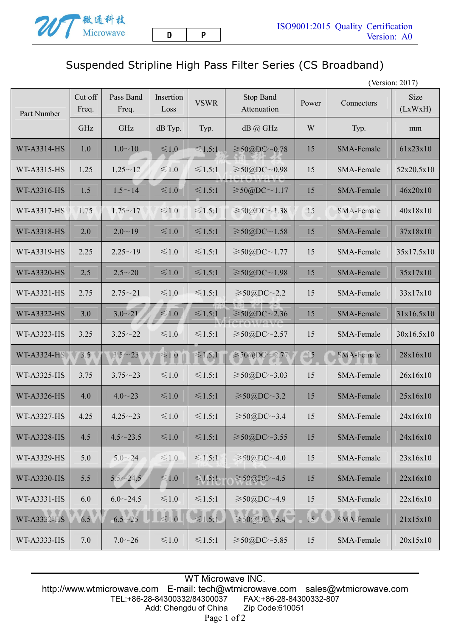## Suspended Stripline High Pass Filter Series (CS Broadband)

(Version: 2017)

| Part Number        | Cut off<br>Freq. | Pass Band<br>Freq. | Insertion<br>Loss | <b>VSWR</b>  | <b>Stop Band</b><br>Attenuation | Power             | Connectors        | Size<br>(LxWxH) |
|--------------------|------------------|--------------------|-------------------|--------------|---------------------------------|-------------------|-------------------|-----------------|
|                    | GHz              | GHz                | dB Typ.           | Typ.         | $dB$ $@$ GHz                    | W                 | Typ.              | mm              |
| WT-A3314-HS        | 1.0              | $1.0 \sim 10$      | $\leq 1.0$        | $\leq 1.5:1$ | $\geq 50$ @DC~0.78              | 15                | SMA-Female        | 61x23x10        |
| WT-A3315-HS        | 1.25             | $1.25 - 12$        | $≤1.0$            | $\leq 1.5:1$ | $≥$ 50@DC∼0.98                  | 15                | SMA-Female        | 52x20.5x10      |
| WT-A3316-HS        | 1.5              | $1.5 \sim 14$      | $≤1.0$            | $\leq 1.5:1$ | $\geq 50$ @DC $\sim$ 1.17       | 15                | SMA-Female        | 46x20x10        |
| <b>WT-A3317-HS</b> | 1.75             | $1.75 \sim 17$     | $\leq 1.0$        | $\leq 1.5:1$ | $\geq 50$ (a)DC ~ 1.38          | 15                | SMA-Female        | 40x18x10        |
| WT-A3318-HS        | 2.0              | $2.0 - 19$         | ≤1.0              | $\leq 1.5:1$ | $\geq 50$ @DC~1.58              | 15                | SMA-Female        | 37x18x10        |
| WT-A3319-HS        | 2.25             | $2.25 - 19$        | $\leq 1.0$        | $\leq 1.5:1$ | $\geq 50$ @DC~1.77              | 15                | <b>SMA-Female</b> | 35x17.5x10      |
| <b>WT-A3320-HS</b> | 2.5              | $2.5 - 20$         | ≤1.0              | $\leq 1.5:1$ | $≥$ 50@DC∼1.98                  | 15                | <b>SMA-Female</b> | 35x17x10        |
| <b>WT-A3321-HS</b> | 2.75             | $2.75 - 21$        | $\leq 1.0$        | $\leq 1.5:1$ | $\geq 50$ (a)DC $\sim$ 2.2      | 15                | SMA-Female        | 33x17x10        |
| <b>WT-A3322-HS</b> | 3.0              | $3.0 - 21$         | $≤1.0$            | $\leq 1.5:1$ | $\geq 50$ @DC~2.36              | 15                | SMA-Female        | 31x16.5x10      |
| WT-A3323-HS        | 3.25             | $3.25 - 22$        | $≤1.0$            | $\leq 1.5:1$ | $≥$ 50@DC∼2.57                  | 15                | SMA-Female        | 30x16.5x10      |
| <b>WT-A3324-HS</b> | 3.5              | $3.5 - 23$         | $≤1.0$            | $\leq 1.5:1$ | $\geq 50$ aDC $\sim$ 2.77       | $\blacksquare$ 15 | SMA-Female        | 28x16x10        |
| WT-A3325-HS        | 3.75             | $3.75 - 23$        | ≤1.0              | $\leq 1.5:1$ | $≥$ 50@DC∼3.03                  | 15                | SMA-Female        | 26x16x10        |
| <b>WT-A3326-HS</b> | 4.0              | $4.0 - 23$         | ≤1.0              | $\leq 1.5:1$ | $\geq 50$ @DC~3.2               | 15                | SMA-Female        | 25x16x10        |
| <b>WT-A3327-HS</b> | 4.25             | $4.25 - 23$        | $≤1.0$            | $\leq 1.5:1$ | $\geq 50$ @DC~3.4               | 15                | SMA-Female        | 24x16x10        |
| <b>WT-A3328-HS</b> | 4.5              | $4.5 \sim 23.5$    | $≤1.0$            | $≤1.5:1$     | $\geq 50$ @DC~3.55              | 15                | SMA-Female        | 24x16x10        |
| <b>WT-A3329-HS</b> | 5.0              | $5.0 - 24$         | $\leq 1.0$        | $\leq 1.5:1$ | $\geq 50$ @DC~4.0               | 15                | SMA-Female        | 23x16x10        |
| <b>WT-A3330-HS</b> | 5.5              | $5.5 - 24.5$       | $≤1.0$            | $\leq 1.5:1$ | $\geq 50$ @DC~4.5               | 15                | SMA-Female        | 22x16x10        |
| WT-A3331-HS        | 6.0              | $6.0 \sim 24.5$    | $\leq 1.0$        | $\leq 1.5:1$ | $\geq 50$ @DC~4.9               | 15                | SMA-Female        | 22x16x10        |
| WT-A3332-HS        | 6.5              | $6.5 - 25$         | $\leq 1.0$        | $\leq 1.5.1$ | $\geq 50$ @DC~5.4               | 15                | SMA-Female        | 21x15x10        |
| WT-A3333-HS        | 7.0              | $7.0 - 26$         | $\leq 1.0$        | $≤1.5:1$     | $\geq 50$ @DC~5.85              | 15                | SMA-Female        | 20x15x10        |